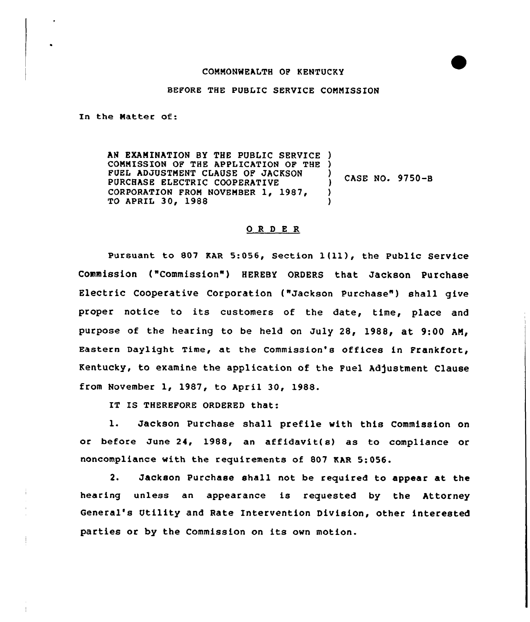## COMMONWEALTH OF KENTUCKY

## BEFORE THE PUBLIC SERVICE COMMISSION

In the Matter of:

AN EXAMINATION BY THE PUBLIC SERVICE ) COMMISSION OF THE APPLICATION OF THE ) FUEL ADJUSTMENT CLAUSE OF JACKSON PURCHASE ELECTRIC COOPERATIVE CORPORATION FROM NOVEMBER 1, 1987, TO APRIL 30, 1988 ) ) CASE NO. 9750-B ) )

## 0 R <sup>D</sup> E R

pursuant to <sup>807</sup> KAR 5:056, section l(ll), the public service Commission ("Commission"} HEREBY ORDERS that Jackson Purchase Electric Cooperative Corporation ("Jackson Purchase") shall give proper notice to its customers of the date, time, place and purpose of the hearing to be held on July 28, 1988, at 9:00 AM, Eastern Daylight Time, at the Commission's offices in Frankfort, Kentucky, to examine the application of the Fuel Adjustment Clause from November 1, 1987, to April 30, 1988.

IT IS THEREFORE ORDERED that:

1. Jackson Purchase shall prefile with this Commission on or before June 24, 1988, an affidavit(s) as to compliance or noncompliance with the requirements of 807 EAR 5:056.

2. Jackson Purchase shall not be required to appear at the hearing unless an appearance is requested by the Attorney General's Utility and Rate Intervention Division, other interested parties or by the Commission on its own motion.